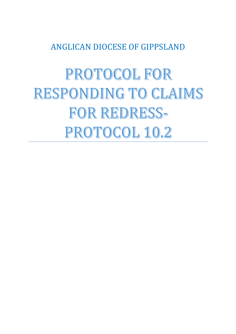ANGLICAN DIOCESE OF GIPPSLAND

# PROTOCOL FOR **RESPONDING TO CLAIMS** FOR REDRESS-PROTOCOL 10.2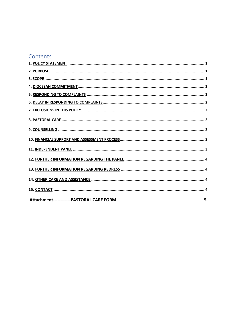# Contents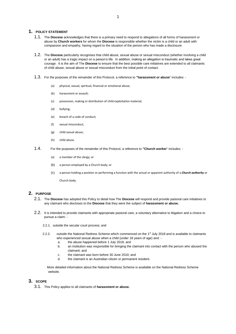#### **1. POLICY STATEMENT**

- 1.1. The **Diocese** acknowledges that there is a primary need to respond to allegations of all forms of harassment or abuse by **Church workers** for whom the **Diocese** is responsible whether the victim is a child or an adult with compassion and empathy, having regard to the situation of the person who has made a disclosure.
- 1.2. The **Diocese** particularly recognises that child abuse, sexual abuse or sexual misconduct (whether involving a child or an adult) has a tragic impact on a person's life. In addition, making an allegation is traumatic and takes great courage. It is the aim of The **Diocese** to ensure that the best possible care initiatives are extended to all claimants of child abuse, sexual abuse or sexual misconduct from the initial point of contact.
- 1.3. For the purposes of the remainder of this Protocol, a reference to **"harassment or abuse**" includes:
	- (a) physical, sexual, spiritual, financial or emotional abuse;
	- (b) harassment or assault;
	- (c) possession, making or distribution of child exploitation material;
	- (d) bullying;
	- (e) breach of a code of conduct;
	- (f) sexual misconduct;
	- (g) child sexual abuse;
	- (h) child abuse.
- 1.4. For the purposes of the remainder of this Protocol, a reference to **"Church worker**" includes:
	- (a) a member of the clergy; or
	- (b) a person employed by a Church body; or
	- (c) a person holding a position or performing a function with the actual or apparent authority of a *Church authority* or

Church body.

#### **2. PURPOSE**

- 2.1. The **Diocese** has adopted this Policy to detail how The **Diocese** will respond and provide pastoral care initiatives to any claimant who discloses to the **Diocese** that they were the subject of **harassment or abuse.**
- 2.2. It is intended to provide claimants with appropriate pastoral care, a voluntary alternative to litigation and a choice to pursue a claim: -
	- 2.2.1. outside the secular court process; and
	- 2.2.2. outside the National Redress Scheme which commenced on the 1<sup>st</sup> July 2018 and is available to claimants who experienced sexual abuse when a child (under 18 years of age) and:
		- a. the abuse happened before 1 July 2018; and
		- b. an institution was responsible for bringing the claimant into contact with the person who abused the claimant; and
		- c. the claimant was born before 30 June 2010; and
		- d. the claimant is an Australian citizen or permanent resident.

More detailed information about the National Redress Scheme is available on the National Redress Scheme website.

#### **3. SCOPE**

3.1. This Policy applies to all claimants of **harassment or abuse.**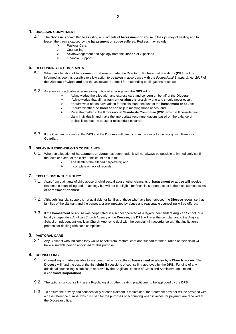#### **4. DIOCESAN COMMITMENT**

- 4.1. The **Diocese** is committed to assisting all claimants of **harassment or abuse** in their journey of healing and to lessen the trauma caused by the **harassment or abuse** suffered. Redress may include:
	- ➢ Pastoral Care.
	- ➢ Counselling
	- ➢ Acknowledgement and Apology from the **Bishop** of Gippsland
	- ➢ Financial Support.

## **5. RESPONDING TO COMPLAINTS**

- 5.1. When an allegation of **harassment or abuse** is made, the Director of Professional Standards (**DPS**) will be informed as soon as possible to allow action to be taken in accordance with the *Professional Standards Act 2017* of the **Diocese of Gippsland** and the associated Protocol for responding to allegations of abuse.
- 5.2. As soon as practicable after receiving notice of an allegation, the **DPS** will:
	- ➢ Acknowledge the allegation and express care and concern on behalf of the **Diocese**;
	- ➢ Acknowledge that all **harassment or abuse** is grossly wrong and should never occur;
	- ➢ Enquire what needs have arisen for the claimant because of the **harassment or abuse**;
	- ➢ Enquire whether the **Diocese** can help in meeting those needs; and
	- ➢ Refer the matter to the **Professional Standards Committee (PSC)** which will consider each claim individually and make the appropriate recommendations based on the balance of probabilities that the abuse or misconduct occurred.
- 5.3. If the Claimant is a minor, the **DPS** and the **Diocese** will direct communications to the recognised Parent or Guardian.

#### **6. DELAY IN RESPONDING TO COMPLAINTS**

- 6.1. When an allegation of **harassment or abuse** has been made, it will not always be possible to immediately confirm the facts or extent of the claim. This could be due to: -
	- ➢ The death of the alleged perpetrator; and
	- $\triangleright$  Incomplete or lack of records.

#### **7. EXCLUSIONS IN THIS POLICY**

- 7.1. Apart from claimants of child abuse or child sexual abuse, other claimants of **harassment or abuse will** receive reasonable counselling and an apology but will not be eligible for financial support except in the most serious cases of **harassment or abuse.**
- 7.2. Although financial support is not available for families of those who have been abused the **Diocese** recognise that families of the claimant and the perpetrator are impacted by abuse and reasonable counselling will be offered.
- 7.3. If the **harassment or abuse** was perpetrated in a school operated as a legally independent Anglican School, or a legally independent Anglican Church Agency of the **Diocese**, the **DPS** will refer the complainant to the Anglican School or independent Anglican Church Agency to deal with the complaint in accordance with that institution's protocol for dealing with such complaints.

#### **8. PASTORAL CARE**

8.1. Any Claimant who indicates they would benefit from Pastoral care and support for the duration of their claim will have a suitable person appointed for this purpose.

#### **9. COUNSELLING**

- 9.1. Counselling is made available to any person who has suffered **harassment or abuse** by a **Church worker**. The **Diocese** will fund the cost of the first **eight (8)** sessions of counselling approved by the **DPS**. Funding of any additional counselling is subject to approval by the Anglican Diocese of Gippsland Administration Limited (**Gippsland Corporation**).
- 9.2. The options for counselling are a Psychologist or other treating practitioner to be approved by the **DPS**.:
- 9.3. To ensure the privacy and confidentiality of each claimant is maintained, the treatment provider will be provided with a case reference number which is used for the purposes of accounting when invoices for payment are received at the Diocesan office.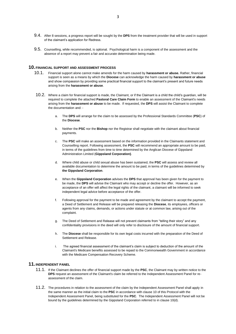- 9.4. After 8 sessions, a progress report will be sought by the **DPS** from the treatment provider that will be used in support of the claimant's application for Redress.
- 9.5. Counselling, while recommended, is optional. Psychological harm is a component of the assessment and the absence of a report may prevent a fair and accurate determination being made.

#### **10.FINANCIAL SUPPORT AND ASSESSMENT PROCESS**

- 10.1. Financial support alone cannot make amends for the harm caused by **harassment or abuse.** Rather, financial support is seen as a means by which the **Diocese** can acknowledge the harm caused by **harassment or abuse** and show compassion by providing some practical financial support to the claimant's present and future needs arising from the **harassment or abuse**.
- 10.2. Where a claim for financial support is made, the Claimant, or if the Claimant is a child the child's guardian, will be required to complete the attached **Pastoral Care Claim Form** to enable an assessment of the Claimant's needs arising from the **harassment or abuse** to be made. If requested, the **DPS** will assist the Claimant to complete the documentation and:
	- a. The **DPS** will arrange for the claim to be assessed by the Professional Standards Committee (**PSC**) of the **Diocese**.
	- b. Neither the **PSC** nor the **Bishop** nor the Registrar shall negotiate with the claimant about financial payments.
	- c. The **PSC** will make an assessment based on the information provided in the Claimants statement and Counselling report. Following assessment, the **PSC** will recommend an appropriate amount to be paid, in terms of the guidelines from time to time determined by the Anglican Diocese of Gippsland Administration Limited (**Gippsland Corporation)**.
	- d. Where child abuse or child sexual abuse has been sustained, the **PSC** will assess and review all available documentation to determine the amount to be paid, in terms of the guidelines determined by **the Gippsland Corporation**.
	- e. When the **Gippsland Corporation** advises the **DPS** that approval has been given for the payment to be made, the **DPS** will advise the Claimant who may accept or decline the offer. However, as an acceptance of an offer will affect the legal rights of the claimant, a claimant will be informed to seek independent legal advice before acceptance of the offer.
	- f. Following approval for the payment to be made and agreement by the claimant to accept the payment, a Deed of Settlement and Release will be prepared releasing the **Diocese**, its employees, officers or agents from any claims, demands, or actions under statute or at common law, arising out of the complaint.
	- g. The Deed of Settlement and Release will not prevent claimants from "telling their story" and any confidentiality provisions in the deed will only refer to disclosure of the amount of financial support.
	- h. The **Diocese** shall be responsible for its own legal costs incurred with the preparation of the Deed of Settlement and Release.
	- i. The agreed financial assessment of the claimant's claim is subject to deduction of the amount of the Claimant's Medicare benefits assessed to be repaid to the Commonwealth Government in accordance with the Medicare Compensation Recovery Scheme.

#### **11.INDEPENDENT PANEL**

- 11.1. If the Claimant declines the offer of financial support made by the **PSC**, the Claimant may by written notice to the **DPS** request an assessment of the Claimant's claim be referred to the Independent Assessment Panel for reassessment of the claim.
- 11.2. The procedures in relation to the assessment of the claim by the Independent Assessment Panel shall apply in the same manner as the initial claim to the **PSC** in accordance with clause 10 of this Protocol with the Independent Assessment Panel, being substituted for the **PSC**. The Independent Assessment Panel will not be bound by the guidelines determined by the Gippsland Corporation referred to in clause 10(d).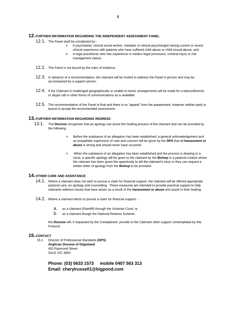#### **12.FURTHER INFORMATION REGARDING THE INDEPENDENT ASSESSMENT PANEL**

- 12.1. The Panel shall be constituted by:
	- ➢ A psychiatrist, clinical social worker, mediator or clinical psychologist having current or recent clinical experience with patients who have suffered child abuse or child sexual abuse; and
	- ➢ A legal practitioner who has experience in medico-legal processes, criminal Injury or risk management claims.
- 12.2. The Panel is not bound by the rules of evidence.
- 12.3. In advance of a recommendation, the claimant will be invited to address the Panel in person and may be accompanied by a support person.
- 12.4. If the Claimant is challenged geographically or unable to travel, arrangements will be made for a teleconference or skype call or other forms of communications as is available.
- 12.5. The recommendation of the Panel is final and there is no "appeal" from the assessment, however neither party is bound to accept the recommended assessment.

#### **13.FURTHER INFORMATION REGARDING REDRESS**

- 13.1. The **Diocese** recognises that an apology can assist the healing process of the claimant and can be provided by the following:
	- ➢ Before the substance of an allegation has been established, a general acknowledgement and an empathetic expression of care and concern will be given by the **DPS** that all **harassment or abuse** is wrong and should never have occurred.
	- ➢ When the substance of an allegation has been established and the process is drawing to a close, a specific apology will be given to the claimant by the **Bishop** in a pastoral context where the claimant has been given the opportunity to tell the claimant's story or they can request a written letter of apology from the **Bishop** to be provided.

#### **14.OTHER CARE AND ASSISTANCE**

- 14.1. Where a claimant does not wish to pursue a claim for financial support, the claimant will be offered appropriate pastoral care, an apology and counselling. These measures are intended to provide practical support to help claimants address issues that have arisen as a result of the **harassment or abuse** and assist in their healing.
- 14.2. Where a claimant elects to pursue a claim for financial support:
	- a. as a claimant (Plaintiff) through the Victorian Court; or
	- b. as a claimant though the National Redress Scheme.

the **Diocese** will, if requested by the Complainant, provide to the Claimant other support contemplated by this Protocol.

#### **15. CONTACT**

15.1 Director of Professional Standards **(DPS) Anglican Diocese of Gippsland** 453 Raymond Street SALE VIC 3850

> **Phone: (03) 5633 1573 mobile 0407 563 313 Email: cherylrussell1@bigpond.com**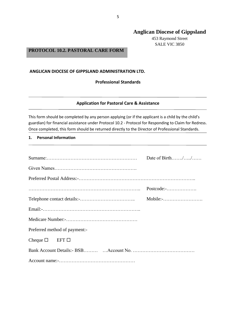# **Anglican Diocese of Gippsland**

453 Raymond Street SALE VIC 3850

# **PROTOCOL 10.2. PASTORAL CARE FORM**

#### **ANGLICAN DIOCESE OF GIPPSLAND ADMINISTRATION LTD.**

## **Professional Standards**

# **Application for Pastoral Care & Assistance**

This form should be completed by any person applying (or if the applicant is a child by the child's guardian) for financial assistance under Protocol 10.2 - Protocol for Responding to Claim for Redress. Once completed, this form should be returned directly to the Director of Professional Standards.

# **1. Personal Information**

|                                | Date of Birth//                                |
|--------------------------------|------------------------------------------------|
|                                |                                                |
|                                |                                                |
|                                | $Postcode: \ldots \ldots \ldots \ldots \ldots$ |
|                                |                                                |
|                                |                                                |
|                                |                                                |
| Preferred method of payment:-  |                                                |
| Cheque $\square$ EFT $\square$ |                                                |
|                                |                                                |
|                                |                                                |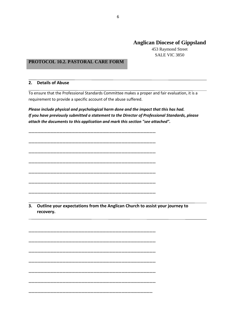# **Anglican Diocese of Gippsland**

453 Raymond Street SALE VIC 3850

# **PROTOCOL 10.2. PASTORAL CARE FORM**

## **2. Details of Abuse**

To ensure that the Professional Standards Committee makes a proper and fair evaluation, it is a requirement to provide a specific account of the abuse suffered.

*Please include physical and psychological harm done and the impact that this has had. If you have previously submitted a statement to the Director of Professional Standards, please attach the documents to this application and mark this section "see attached".*

**…………………………………………………………………………………………………………… …………………………………………………………………………………………………………… …………………………………………………………………………………………………………… …………………………………………………………………………………………………………… …………………………………………………………………………………………………………… …………………………………………………………………………………………………………… ……………………………………………………………………………………………………………**

**3. Outline your expectations from the Anglican Church to assist your journey to recovery.**

**…………………………………………………………………………………………………………… …………………………………………………………………………………………………………… …………………………………………………………………………………………………………… …………………………………………………………………………………………………………… …………………………………………………………………………………………………………… …………………………………………………………………………………………………………… …………………………………………………………………………………………………………**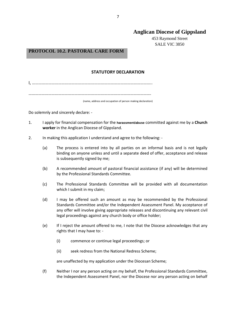# **Anglican Diocese of Gippsland**

453 Raymond Street SALE VIC 3850

# **PROTOCOL 10.2. PASTORAL CARE FORM**

## **STATUTORY DECLARATION**

I, ………………………………………………………………………………………………..

………………………………………………………………………………………………….

(name, address and occupation of person making declaration)

Do solemnly and sincerely declare: -

- 1. I apply for financial compensation for the **harassment/abuse** committed against me by a **Church worker** in the Anglican Diocese of Gippsland.
- 2. In making this application I understand and agree to the following:
	- (a) The process is entered into by all parties on an informal basis and is not legally binding on anyone unless and until a separate deed of offer, acceptance and release is subsequently signed by me;
	- (b) A recommended amount of pastoral financial assistance (if any) will be determined by the Professional Standards Committee.
	- (c) The Professional Standards Committee will be provided with all documentation which I submit in my claim;
	- (d) I may be offered such an amount as may be recommended by the Professional Standards Committee and/or the Independent Assessment Panel. My acceptance of any offer will involve giving appropriate releases and discontinuing any relevant civil legal proceedings against any church body or office holder;
	- (e) If I reject the amount offered to me, I note that the Diocese acknowledges that any rights that I may have to: -
		- (i) commence or continue legal proceedings; or
		- (ii) seek redress from the National Redress Scheme;

are unaffected by my application under the Diocesan Scheme;

(f) Neither I nor any person acting on my behalf, the Professional Standards Committee, the Independent Assessment Panel, nor the Diocese nor any person acting on behalf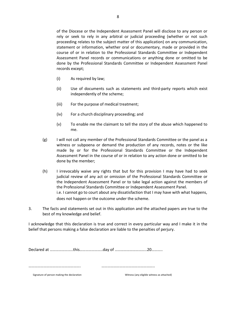of the Diocese or the Independent Assessment Panel will disclose to any person or rely or seek to rely in any arbitral or judicial proceeding (whether or not such proceeding relates to the subject matter of this application) on any communication, statement or information, whether oral or documentary, made or provided in the course of or in relation to the Professional Standards Committee or Independent Assessment Panel records or communications or anything done or omitted to be done by the Professional Standards Committee or Independent Assessment Panel records except;

- (i) As required by law;
- (ii) Use of documents such as statements and third-party reports which exist independently of the scheme;
- (iii) For the purpose of medical treatment;
- (iv) For a church disciplinary proceeding; and
- (v) To enable me the claimant to tell the story of the abuse which happened to me.
- (g) I will not call any member of the Professional Standards Committee or the panel as a witness or subpoena or demand the production of any records, notes or the like made by or for the Professional Standards Committee or the Independent Assessment Panel in the course of or in relation to any action done or omitted to be done by the member;
- (h) I irrevocably waive any rights that but for this provision I may have had to seek judicial review of any act or omission of the Professional Standards Committee or the Independent Assessment Panel or to take legal action against the members of the Professional Standards Committee or Independent Assessment Panel. i.e. I cannot go to court about any dissatisfaction that I may have with what happens, does not happen or the outcome under the scheme.
- 3. The facts and statements set out in this application and the attached papers are true to the best of my knowledge and belief.

I acknowledge that this declaration is true and correct in every particular way and I make it in the belief that persons making a false declaration are liable to the penalties of perjury.

Declared at …………………..this…………………..day of …………………………..20………..

Signature of person making the declaration Witness (any eligible witness as attached)